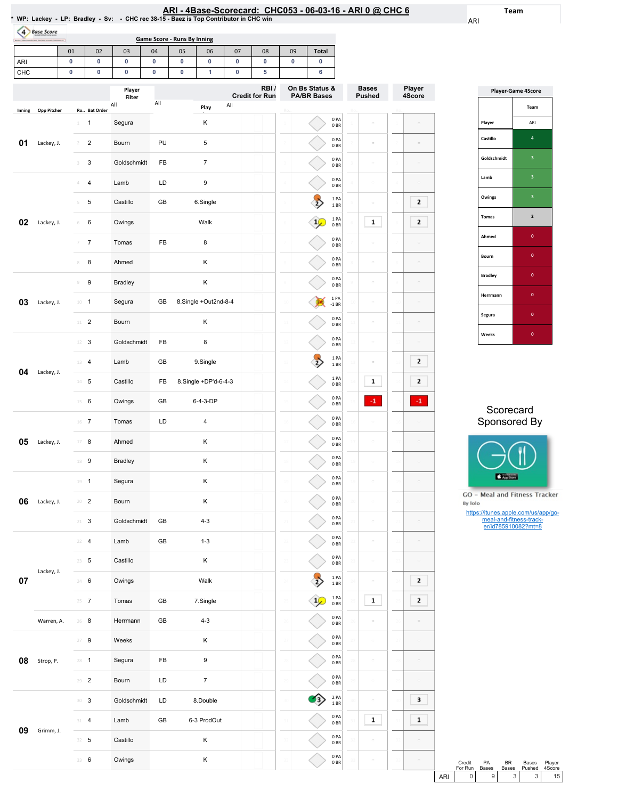| ا RI - 4Base-Scorecard:  CHC053 - 06-03-16 - ARI 0 @ CHC. |  |  |  |  |
|-----------------------------------------------------------|--|--|--|--|
|-----------------------------------------------------------|--|--|--|--|

2PA 1BR 0PA 0BR 0PA 0BR 0PA 0BR

 $\boxed{1}$ 

Team

ARI

Player 4Score

 $\overline{\mathbf{2}}$  $\overline{2}$ 

÷.

 $\bar{\phantom{a}}$ 

 $\equiv$ 

 $\boxed{2}$  $\overline{2}$  $\left\vert \cdot\right\vert$ 

 $\overline{\phantom{a}}$ 

 $\equiv$  $\bar{\phantom{a}}$ 

 $\overline{2}$  $\overline{\mathbf{2}}$ 

 $\equiv$ 

 $\overline{\phantom{a}}$ 

 $\begin{array}{|c|} \hline \hline \end{array}$ 

|                  |                    |                |                         | * WP: Lackey - LP: Bradley - Sv: - CHC rec 38-15 - Baez is Top Contributor in CHC win |        |                                    |                      |        | ARI - 4Base-Scorecard: CHC053 - 06-03-16 - ARI 0 @ CHC 6 |    |                                      |                         |                |       |                         |
|------------------|--------------------|----------------|-------------------------|---------------------------------------------------------------------------------------|--------|------------------------------------|----------------------|--------|----------------------------------------------------------|----|--------------------------------------|-------------------------|----------------|-------|-------------------------|
| $\left(4\right)$ | <b>Base Score</b>  |                |                         |                                                                                       |        | <b>Game Score - Runs By Inning</b> |                      |        |                                                          |    |                                      |                         |                |       |                         |
|                  |                    | 01             | 02                      | 03                                                                                    | 04     | 05                                 | 06                   | 07     | 08                                                       | 09 | <b>Total</b>                         |                         |                |       |                         |
| ARI<br>CHC       |                    | 0<br>0         | 0<br>0                  | 0<br>0                                                                                | 0<br>0 | 0<br>0                             | 0<br>1               | 0<br>0 | 0<br>5                                                   | 0  | 0<br>6                               |                         |                |       |                         |
|                  |                    |                |                         | Player                                                                                |        |                                    |                      |        | RBI/                                                     |    | On Bs Status &<br><b>PA/BR Bases</b> |                         | <b>Bases</b>   | Playe |                         |
| Inning           | <b>Opp Pitcher</b> |                | Ro Bat Order            | Filter<br>All                                                                         | All    |                                    | Play                 | All    | <b>Credit for Run</b>                                    |    |                                      |                         | <b>Pushed</b>  | 4Scor |                         |
|                  |                    | $\perp$        | 1                       | Segura                                                                                |        |                                    | κ                    |        |                                                          |    |                                      | 0PA<br>0BR              | ċ              |       |                         |
| 01               | Lackey, J.         | $\overline{2}$ | $\overline{\mathbf{c}}$ | Bourn                                                                                 | PU     |                                    | 5                    |        |                                                          |    |                                      | 0PA<br>0BR              | ÷              |       |                         |
|                  |                    | 3              | 3                       | Goldschmidt                                                                           | FB     |                                    | $\overline{7}$       |        |                                                          |    |                                      | 0PA<br>0BR              | ö              |       |                         |
|                  |                    | 4              | 4                       | Lamb                                                                                  | LD     |                                    | 9                    |        |                                                          |    |                                      | 0PA<br>0BR              | $\overline{a}$ |       |                         |
|                  |                    | 5              | 5                       | Castillo                                                                              | GB     |                                    | 6.Single             |        |                                                          |    |                                      | 1PA<br>1 BR             | ś              |       | $\overline{\mathbf{z}}$ |
| 02               | Lackey, J.         | 6              | 6                       | Owings                                                                                |        |                                    | Walk                 |        |                                                          |    |                                      | 1PA<br>0BR              | 1              |       | 2                       |
|                  |                    | 7              | $\overline{7}$          | Tomas                                                                                 | FB     |                                    | 8                    |        |                                                          |    |                                      | 0PA<br>0B               | ÷              |       |                         |
|                  |                    | 8              | 8                       | Ahmed                                                                                 |        |                                    | κ                    |        |                                                          |    |                                      | 0PA<br>0BR              | ë              |       |                         |
|                  |                    | $\mathcal G$   | 9                       | <b>Bradley</b>                                                                        |        |                                    | Κ                    |        |                                                          |    |                                      | 0 PA<br>0BR             | $\equiv$       |       |                         |
| 03               | Lackey, J.         | $10 - 1$       |                         | Segura                                                                                | GB     |                                    | 8.Single +Out2nd-8-4 |        |                                                          |    |                                      | 1 PA<br>-1 BR           | $\equiv$       |       |                         |
|                  |                    |                | $11 \t 2$               | Bourn                                                                                 |        |                                    | κ                    |        |                                                          |    |                                      | 0PA<br>0BR              | ś              |       |                         |
|                  |                    | 12             | 3                       | Goldschmidt                                                                           | FB     |                                    | 8                    |        |                                                          |    |                                      | 0PA<br>0BR              | ċ              |       |                         |
|                  |                    | 13             | $\overline{a}$          | Lamb                                                                                  | GB     |                                    | 9.Single             |        |                                                          |    |                                      | 1PA<br>1BR              | ÷              |       | 2                       |
| 04               | Lackey, J.         |                | $14$ 5                  | Castillo                                                                              | FB     |                                    | 8.Single +DP'd-6-4-3 |        |                                                          |    |                                      | 1PA<br>0BR              | 1              |       | 2                       |
|                  |                    | $15 \t 6$      |                         | Owings                                                                                | GB     |                                    | 6-4-3-DP             |        |                                                          |    |                                      | 0PA<br>0B               | $-1$           |       |                         |
|                  |                    | $16$ 7         |                         | Tomas                                                                                 | LD     |                                    | 4                    |        |                                                          |    |                                      | 0 PA<br>0 BR            |                |       |                         |
| 05               | Lackey, J.         | $\perp$ /      | 8                       | Ahmed                                                                                 |        |                                    | Κ                    |        |                                                          |    |                                      | 0PA<br>$0\;\mathrm{BR}$ |                |       |                         |
|                  |                    |                | 18 9                    | <b>Bradley</b>                                                                        |        |                                    | Κ                    |        |                                                          |    |                                      | 0PA<br>0BR              |                |       |                         |
|                  |                    |                | $19 - 1$                | Segura                                                                                |        |                                    | Κ                    |        |                                                          |    |                                      | 0PA<br>0BR              |                |       |                         |
| 06               | Lackey, J.         |                | $20 - 2$                | Bourn                                                                                 |        |                                    | Κ                    |        |                                                          |    |                                      | 0PA<br>0B               | ÷              |       |                         |
|                  |                    |                | $21 - 3$                | Goldschmidt                                                                           | GB     |                                    | $4 - 3$              |        |                                                          |    |                                      | 0PA<br>0B               | ċ              |       |                         |
|                  |                    |                | $22 - 4$                | Lamb                                                                                  | GB     |                                    | $1 - 3$              |        |                                                          |    |                                      | 0PA<br>0B               | ÷              |       |                         |
|                  |                    |                | $23 \t 5$               | Castillo                                                                              |        |                                    | Κ                    |        |                                                          |    |                                      | 0PA<br>0B               | ś              |       |                         |
| 07               | Lackey, J.         |                | 24 6                    | Owings                                                                                |        |                                    | Walk                 |        |                                                          |    |                                      | 1PA<br>1 BR             | $\bar{a}$      |       | 2                       |
|                  |                    |                | $25 - 7$                | Tomas                                                                                 | GB     |                                    | 7.Single             |        |                                                          |    |                                      | 1PA<br>0B               | $\mathbf 1$    |       | 2                       |
|                  | Warren, A.         |                | $26$ 8                  | Herrmann                                                                              | GB     |                                    | $4 - 3$              |        |                                                          |    |                                      | 0PA<br>0BR              |                |       |                         |
|                  |                    |                | $27 - 9$                | Weeks                                                                                 |        |                                    | Κ                    |        |                                                          |    |                                      | 0PA<br>0B               | ÷              |       |                         |
| 08               | Strop, P.          | $28 - 1$       |                         | Segura                                                                                | FB     |                                    | 9                    |        |                                                          |    |                                      | 0PA<br>0B               | ċ              |       |                         |
|                  |                    |                | $29 - 2$                | Bourn                                                                                 | LD     |                                    | $\boldsymbol{7}$     |        |                                                          |    |                                      | 0PA<br>0B               |                |       |                         |

09 Grimm, J.

30 3 Goldschmidt LD 8.Double 31 4 Lamb GB 6-3ProdOut

32 5 Castillo K 33 6 Owings K

| <b>Player-Game 4Score</b> |                         |  |  |  |  |  |  |  |
|---------------------------|-------------------------|--|--|--|--|--|--|--|
|                           | Team                    |  |  |  |  |  |  |  |
| Player                    | ARI                     |  |  |  |  |  |  |  |
| Castillo                  | 4                       |  |  |  |  |  |  |  |
| Goldschmidt               | 3                       |  |  |  |  |  |  |  |
| Lamb                      | 3                       |  |  |  |  |  |  |  |
| Owings                    | $\overline{\mathbf{3}}$ |  |  |  |  |  |  |  |
| Tomas                     | $\overline{2}$          |  |  |  |  |  |  |  |
| Ahmed                     | $\mathbf{0}$            |  |  |  |  |  |  |  |
| Bourn                     | $\mathbf{0}$            |  |  |  |  |  |  |  |
| <b>Bradley</b>            | $\mathbf{0}$            |  |  |  |  |  |  |  |
| Herrmann                  | O                       |  |  |  |  |  |  |  |
| Segura                    | O                       |  |  |  |  |  |  |  |
| Weeks                     | O                       |  |  |  |  |  |  |  |

## Scorecard Sponsored By



**GO** - Meal and Fitness Tracker By Iolo

https://itunes.apple.com/us/app/go-meal-and-fitness-track-er/id785910082?mt=8

|     | Credit  | PА           | RR.            | Bases  | Player |
|-----|---------|--------------|----------------|--------|--------|
|     | For Run | <b>Bases</b> | <b>Bases</b>   | Pushed | 4Score |
| ARI |         | 9 I          | 3 <sup>1</sup> |        | 15     |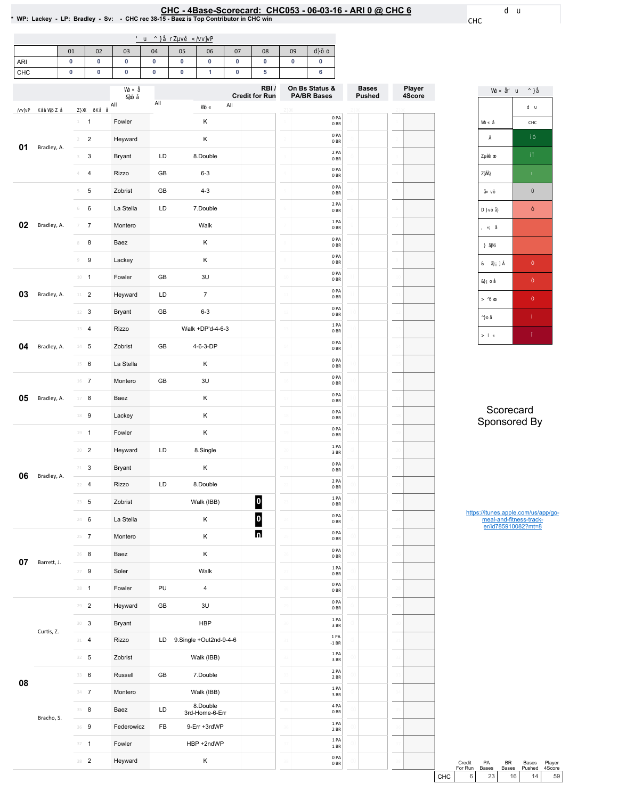# EHC - 4Base-Scorecard: CHC053 - 06-03-16 - ARI 0 @ CHC 6 \* wp: Lackey - LP: Bradley - Sv: - CHC rec 38-15 - Baez is Top Contributor in CHC win

CHC

|                                                                      | 01 | 02 | 03 | 04 | 05 | 06 | 07 | 08 | 09 |  |
|----------------------------------------------------------------------|----|----|----|----|----|----|----|----|----|--|
| ARI                                                                  |    |    |    |    |    |    |    |    |    |  |
| CHC                                                                  |    |    |    |    |    |    |    |    |    |  |
| On Bs Status &<br>RBI/<br>Consultation Description<br><b>BAIRBB-</b> |    |    |    |    |    |    |    |    |    |  |

|    |             |                                  | All           | All | All                        | RBI/<br><b>Credit for Run</b> |                | On Bs Status &<br><b>PA/BR Bases</b> | <b>Bases</b><br><b>Pushed</b> |                | Player<br>4Score |
|----|-------------|----------------------------------|---------------|-----|----------------------------|-------------------------------|----------------|--------------------------------------|-------------------------------|----------------|------------------|
|    |             |                                  |               |     |                            |                               |                | 0PA                                  |                               |                |                  |
|    |             | $\mathbf{1}$<br>$\perp$          | Fowler        |     | К                          |                               |                | 0B<br>0PA                            |                               |                |                  |
| 01 | Bradley, A. | $\overline{c}$<br>$\overline{2}$ | Heyward       |     | Κ                          |                               |                | 0BR<br>2 PA                          |                               |                |                  |
|    |             | $\sqrt{3}$<br>3                  | <b>Bryant</b> | LD  | 8.Double                   |                               |                | 0B<br>0PA                            |                               |                |                  |
|    |             | 4<br>$\Delta$                    | Rizzo         | GB  | $6 - 3$                    |                               |                | 0 <sub>BR</sub><br>0PA               |                               |                |                  |
|    |             | 5<br>5                           | Zobrist       | GB  | $4 - 3$                    |                               |                | 0B                                   |                               |                |                  |
|    |             | 6<br>6                           | La Stella     | LD  | 7.Double                   |                               | 6              | 2 PA<br>0B                           |                               |                |                  |
| 02 | Bradley, A. | $\overline{7}$<br>7              | Montero       |     | Walk                       |                               |                | 1PA<br>0BR                           |                               |                |                  |
|    |             | 8<br>$\rm 8$                     | Baez          |     | К                          |                               |                | 0PA<br>0 <sub>BR</sub>               |                               |                |                  |
|    |             | 9<br>$\mathcal G$                | Lackey        |     | Κ                          |                               | $\overline{9}$ | 0PA<br>0 <sub>BR</sub>               |                               |                |                  |
|    |             | $10 - 1$                         | Fowler        | GB  | 3U                         |                               | $10$           | 0PA<br>0BR                           |                               | $10$           |                  |
| 03 | Bradley, A. | $11$ – $2$                       | Heyward       | LD  | $\overline{7}$             |                               |                | 0PA<br>0 <sub>BR</sub>               |                               |                |                  |
|    |             | $12 \t3$                         | <b>Bryant</b> | GB  | $6 - 3$                    |                               |                | 0PA<br>0B                            |                               |                |                  |
|    |             | 13<br>$\overline{4}$             | Rizzo         |     | Walk +DP'd-4-6-3           |                               |                | 1 PA<br>0B                           |                               | $\mathcal{I}$  |                  |
| 04 | Bradley, A. | $14 -$<br>5                      | Zobrist       | GB  | 4-6-3-DP                   |                               |                | 0 PA<br>0BR                          |                               | $\mathbf{1}$   |                  |
|    |             | 15<br>6                          | La Stella     |     | К                          |                               |                | 0PA<br>0B                            |                               |                |                  |
|    |             | $16$ 7                           | Montero       | GB  | 3U                         |                               | 16             | 0PA<br>0BR                           |                               | 16             |                  |
| 05 | Bradley, A. | 8<br>17                          | Baez          |     | Κ                          |                               | $\mathbf{1}$   | 0PA<br>0B                            |                               |                |                  |
|    |             | 18 9                             | Lackey        |     | Κ                          |                               |                | 0PA<br>0B                            |                               |                |                  |
|    |             | $19 - 1$                         | Fowler        |     | Κ                          |                               |                | 0PA<br>0 BR                          |                               |                |                  |
|    |             | $\overline{2}$<br>20             | Heyward       | LD  | 8.Single                   |                               | 2(             | 1PA<br>$3\;\mathrm{BR}$              |                               | $\overline{2}$ |                  |
|    |             | $\sqrt{3}$<br>$21 -$             | <b>Bryant</b> |     | Κ                          |                               |                | 0PA<br>0 BR                          |                               |                |                  |
| 06 | Bradley, A. | $\overline{4}$<br>22             | Rizzo         | LD  | 8.Double                   |                               |                | 2 PA<br>0B                           |                               |                |                  |
|    |             | 23<br>5                          | Zobrist       |     | Walk (IBB)                 | 0                             | 2i             | 1PA<br>0 <sub>BR</sub>               |                               |                |                  |
|    |             | 24<br>6                          | La Stella     |     | Κ                          | 0                             | $\overline{2}$ | 0PA<br>0BR                           |                               | 24             |                  |
|    |             | $25 \t{7}$                       | Montero       |     | Κ                          |                               |                | 0PA<br>0 <sub>BR</sub>               |                               |                |                  |
|    |             | $26 - 8$                         | Baez          |     | Κ                          |                               |                | 0PA<br>$0\;\mathrm{BR}$              |                               |                |                  |
| 07 | Barrett, J. | $\boldsymbol{9}$<br>27           | Soler         |     | Walk                       |                               |                | 1 PA<br>$0\;\mathrm{BR}$             |                               |                |                  |
|    |             | $28 - 1$                         | Fowler        | PU  | $\pmb{4}$                  |                               |                | 0 PA<br>0 BR                         |                               |                |                  |
|    |             | $29 - 2$                         | Heyward       | GB  | 3U                         |                               |                | 0PA<br>$0\;\mathrm{BR}$              |                               |                |                  |
|    |             | 30<br>3                          | <b>Bryant</b> |     | <b>HBP</b>                 |                               | 30             | 1PA<br>3 BR                          |                               |                |                  |
|    | Curtis, Z.  | $\overline{\mathbf{4}}$<br>31    | Rizzo         | LD  | 9.Single +Out2nd-9-4-6     |                               | 31             | 1 PA<br>$-1$ BR                      |                               |                |                  |
|    |             | $32 - 5$                         | Zobrist       |     | Walk (IBB)                 |                               |                | $1\,\mathrm{PA}$<br>$3B$ R           |                               |                |                  |
|    |             | 33 6                             | Russell       | GB  | 7.Double                   |                               |                | 2 PA<br>2 BR                         |                               |                |                  |
| 08 |             | $34 - 7$                         | Montero       |     | Walk (IBB)                 |                               |                | $1\ \mathsf{PA}$<br>$3\;\mathrm{BR}$ |                               |                |                  |
|    |             | 35 8                             | Baez          | LD  | 8.Double<br>3rd-Home-6-Err |                               |                | 4 PA<br>0 BR                         |                               |                |                  |
|    | Bracho, S.  | 9<br>36                          | Federowicz    | FB  | 9-Err +3rdWP               |                               |                | 1 PA<br>$2$ BR $\,$                  |                               |                |                  |
|    |             | $\mathbf{1}$<br>37               | Fowler        |     | HBP +2ndWP                 |                               | 31             | 1 PA<br>1 BR                         |                               |                |                  |
|    |             | $38$ 2                           | Heyward       |     | Κ                          |                               | 38             | 0 PA<br>$0\;\mathrm{BR}$             |                               | 38             |                  |
|    |             |                                  |               |     |                            |                               |                |                                      |                               |                |                  |

| CHC |
|-----|
|     |
|     |
|     |
|     |
|     |
|     |
|     |
|     |
|     |
|     |
|     |
|     |

**Scorecard** Sponsored By

https://itunes.apple.com/us/app/go-meal-and-fitness-track-er/id785910082?mt=8

Credit PA<br>For Run Bases Credit PA BR Bases Player<br>
For Run Bases Bases Pushed 4Score<br>
CHC 6 23 16 14 59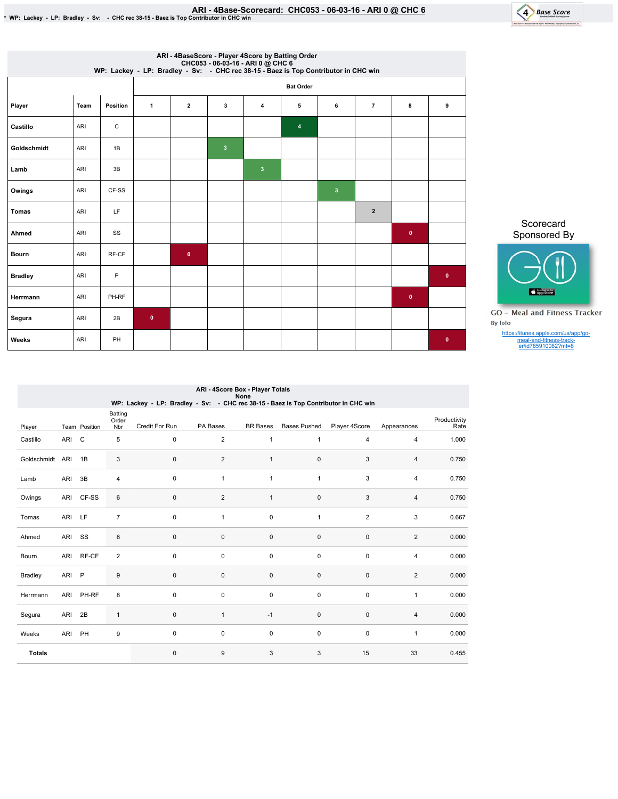

|                | ARI - 4BaseScore - Player 4Score by Batting Order<br>CHC053 - 06-03-16 - ARI 0 @ CHC 6<br>WP: Lackey - LP: Bradley - Sv: - CHC rec 38-15 - Baez is Top Contributor in CHC win |          |              |                         |                         |                         |                  |                         |                |              |             |  |
|----------------|-------------------------------------------------------------------------------------------------------------------------------------------------------------------------------|----------|--------------|-------------------------|-------------------------|-------------------------|------------------|-------------------------|----------------|--------------|-------------|--|
|                |                                                                                                                                                                               |          |              |                         |                         |                         | <b>Bat Order</b> |                         |                |              |             |  |
| Player         | Team                                                                                                                                                                          | Position | $\mathbf{1}$ | $\overline{\mathbf{2}}$ | 3                       | $\overline{4}$          | 5                | 6                       | $\overline{7}$ | 8            | 9           |  |
| Castillo       | ARI                                                                                                                                                                           | C        |              |                         |                         |                         | $\pmb{4}$        |                         |                |              |             |  |
| Goldschmidt    | ARI                                                                                                                                                                           | 1B       |              |                         | $\overline{\mathbf{3}}$ |                         |                  |                         |                |              |             |  |
| Lamb           | ARI                                                                                                                                                                           | 3B       |              |                         |                         | $\overline{\mathbf{3}}$ |                  |                         |                |              |             |  |
| Owings         | ARI                                                                                                                                                                           | CF-SS    |              |                         |                         |                         |                  | $\overline{\mathbf{3}}$ |                |              |             |  |
| <b>Tomas</b>   | ARI                                                                                                                                                                           | LF.      |              |                         |                         |                         |                  |                         | $\overline{2}$ |              |             |  |
| Ahmed          | ARI                                                                                                                                                                           | SS       |              |                         |                         |                         |                  |                         |                | $\mathbf{0}$ |             |  |
| <b>Bourn</b>   | ARI                                                                                                                                                                           | RF-CF    |              | $\mathbf{0}$            |                         |                         |                  |                         |                |              |             |  |
| <b>Bradley</b> | ARI                                                                                                                                                                           | P        |              |                         |                         |                         |                  |                         |                |              | $\mathbf 0$ |  |
| Herrmann       | ARI                                                                                                                                                                           | PH-RF    |              |                         |                         |                         |                  |                         |                | $\bullet$    |             |  |
| Segura         | ARI                                                                                                                                                                           | 2B       | $\mathbf 0$  |                         |                         |                         |                  |                         |                |              |             |  |
| Weeks          | ARI                                                                                                                                                                           | PH       |              |                         |                         |                         |                  |                         |                |              | $\bullet$   |  |

Sponsored By

Scorecard

**App Store GO** - Meal and Fitness Tracker By Iolo

https://itunes.apple.com/us/app/go-meal-and-fitness-track-er/id785910082?mt=8

| ARI - 4Score Box - Player Totals<br><b>None</b><br>WP: Lackey - LP: Bradley - Sv: - CHC rec 38-15 - Baez is Top Contributor in CHC win |            |               |                         |                |                         |                 |                     |                |                |                      |  |  |
|----------------------------------------------------------------------------------------------------------------------------------------|------------|---------------|-------------------------|----------------|-------------------------|-----------------|---------------------|----------------|----------------|----------------------|--|--|
| Player                                                                                                                                 |            | Team Position | Batting<br>Order<br>Nbr | Credit For Run | PA Bases                | <b>BR</b> Bases | <b>Bases Pushed</b> | Player 4Score  | Appearances    | Productivity<br>Rate |  |  |
| Castillo                                                                                                                               | <b>ARI</b> | $\mathsf C$   | 5                       | 0              | $\overline{\mathbf{c}}$ | 1               | 1                   | $\overline{4}$ | $\overline{4}$ | 1.000                |  |  |
| Goldschmidt                                                                                                                            | ARI        | 1B            | 3                       | $\mathbf 0$    | $\overline{2}$          | $\mathbf{1}$    | $\mathbf 0$         | 3              | $\overline{4}$ | 0.750                |  |  |
| Lamb                                                                                                                                   | ARI        | 3B            | $\overline{4}$          | 0              | $\mathbf{1}$            | 1               | 1                   | 3              | $\overline{4}$ | 0.750                |  |  |
| Owings                                                                                                                                 | ARI        | CF-SS         | 6                       | $\mathbf 0$    | $\overline{2}$          | $\mathbf{1}$    | 0                   | 3              | $\overline{4}$ | 0.750                |  |  |
| Tomas                                                                                                                                  | ARI        | LF            | $\overline{7}$          | $\pmb{0}$      | $\mathbf{1}$            | 0               | $\mathbf{1}$        | 2              | 3              | 0.667                |  |  |
| Ahmed                                                                                                                                  | ARI        | SS            | 8                       | $\pmb{0}$      | 0                       | 0               | $\pmb{0}$           | $\pmb{0}$      | 2              | 0.000                |  |  |
| Bourn                                                                                                                                  | ARI        | RF-CF         | $\overline{2}$          | $\pmb{0}$      | 0                       | $\mathbf 0$     | $\mathbf 0$         | $\pmb{0}$      | $\overline{4}$ | 0.000                |  |  |
| <b>Bradley</b>                                                                                                                         | ARI        | $\mathsf{P}$  | 9                       | $\pmb{0}$      | 0                       | 0               | $\mathbf 0$         | $\pmb{0}$      | $\overline{2}$ | 0.000                |  |  |
| Herrmann                                                                                                                               | ARI        | PH-RF         | 8                       | $\pmb{0}$      | 0                       | $\mathbf 0$     | $\mathbf 0$         | $\pmb{0}$      | $\mathbf{1}$   | 0.000                |  |  |
| Segura                                                                                                                                 | ARI        | 2B            | $\mathbf{1}$            | 0              | $\mathbf{1}$            | $-1$            | $\mathbf 0$         | $\mathbf{0}$   | $\overline{4}$ | 0.000                |  |  |
| Weeks                                                                                                                                  | ARI        | PH            | 9                       | $\pmb{0}$      | 0                       | 0               | $\mathbf 0$         | $\pmb{0}$      | $\mathbf{1}$   | 0.000                |  |  |
| <b>Totals</b>                                                                                                                          |            |               |                         | 0              | 9                       | 3               | 3                   | 15             | 33             | 0.455                |  |  |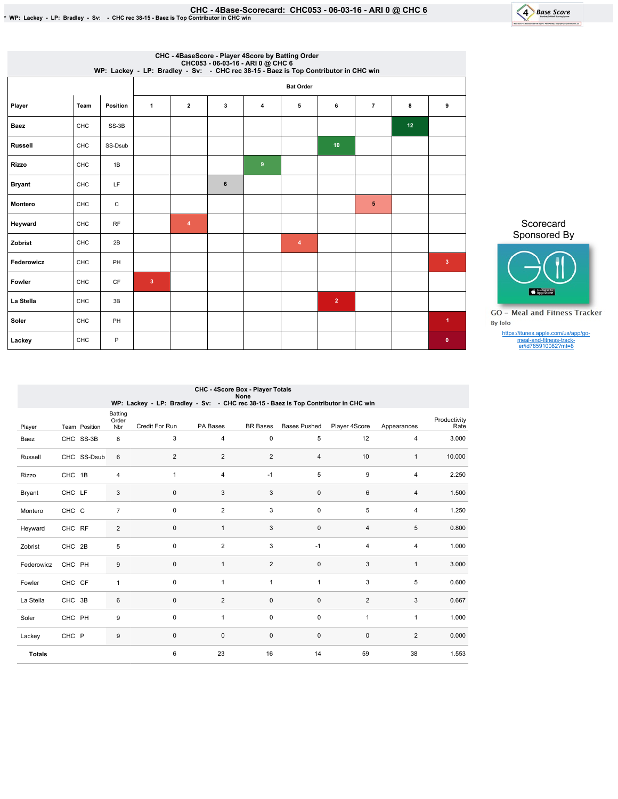

| CHC - 4BaseScore - Player 4Score by Batting Order<br>CHC053 - 06-03-16 - ARI 0 @ CHC 6<br>WP: Lackey - LP: Bradley - Sv: - CHC rec 38-15 - Baez is Top Contributor in CHC win |      |                 |                         |                |   |                |                  |                |                |    |                      |
|-------------------------------------------------------------------------------------------------------------------------------------------------------------------------------|------|-----------------|-------------------------|----------------|---|----------------|------------------|----------------|----------------|----|----------------------|
|                                                                                                                                                                               |      |                 |                         |                |   |                | <b>Bat Order</b> |                |                |    |                      |
| Player                                                                                                                                                                        | Team | <b>Position</b> | $\mathbf{1}$            | $\overline{2}$ | 3 | $\overline{4}$ | 5                | 6              | $\overline{7}$ | 8  | 9                    |
| Baez                                                                                                                                                                          | CHC  | SS-3B           |                         |                |   |                |                  |                |                | 12 |                      |
| <b>Russell</b>                                                                                                                                                                | CHC  | SS-Dsub         |                         |                |   |                |                  | 10             |                |    |                      |
| <b>Rizzo</b>                                                                                                                                                                  | CHC  | 1B              |                         |                |   | 9              |                  |                |                |    |                      |
| <b>Bryant</b>                                                                                                                                                                 | CHC  | LF              |                         |                | 6 |                |                  |                |                |    |                      |
| Montero                                                                                                                                                                       | CHC  | $\mathtt{C}$    |                         |                |   |                |                  |                | 5              |    |                      |
| Heyward                                                                                                                                                                       | CHC  | RF              |                         | $\overline{4}$ |   |                |                  |                |                |    |                      |
| Zobrist                                                                                                                                                                       | CHC  | 2B              |                         |                |   |                | $\overline{4}$   |                |                |    |                      |
| Federowicz                                                                                                                                                                    | CHC  | PH              |                         |                |   |                |                  |                |                |    | $\overline{3}$       |
| Fowler                                                                                                                                                                        | CHC  | <b>CF</b>       | $\overline{\mathbf{3}}$ |                |   |                |                  |                |                |    |                      |
| La Stella                                                                                                                                                                     | CHC  | 3B              |                         |                |   |                |                  | $\overline{2}$ |                |    |                      |
| Soler                                                                                                                                                                         | CHC  | PH              |                         |                |   |                |                  |                |                |    | $\blacktriangleleft$ |
| Lackey                                                                                                                                                                        | CHC  | P               |                         |                |   |                |                  |                |                |    | $\bullet$            |

Sponsored By App Store

Scorecard

**GO** - Meal and Fitness Tracker By Iolo

https://itunes.apple.com/us/app/go-meal-and-fitness-track-er/id785910082?mt=8

| CHC - 4Score Box - Player Totals<br>None<br>WP: Lackey - LP: Bradley - Sv: - CHC rec 38-15 - Baez is Top Contributor in CHC win |           |               |                         |                |                |                 |                     |                |                |                      |  |  |
|---------------------------------------------------------------------------------------------------------------------------------|-----------|---------------|-------------------------|----------------|----------------|-----------------|---------------------|----------------|----------------|----------------------|--|--|
| Player                                                                                                                          |           | Team Position | Batting<br>Order<br>Nbr | Credit For Run | PA Bases       | <b>BR</b> Bases | <b>Bases Pushed</b> | Player 4Score  | Appearances    | Productivity<br>Rate |  |  |
| Baez                                                                                                                            | CHC SS-3B |               | 8                       | 3              | 4              | $\mathbf 0$     | 5                   | 12             | $\overline{4}$ | 3.000                |  |  |
| Russell                                                                                                                         |           | CHC SS-Dsub   | 6                       | $\overline{2}$ | $\overline{2}$ | $\overline{2}$  | $\overline{4}$      | 10             | $\mathbf{1}$   | 10.000               |  |  |
| Rizzo                                                                                                                           | CHC 1B    |               | $\overline{4}$          | $\mathbf{1}$   | $\overline{4}$ | $-1$            | 5                   | 9              | $\overline{4}$ | 2.250                |  |  |
| <b>Bryant</b>                                                                                                                   | CHC LF    |               | 3                       | $\mathbf 0$    | 3              | 3               | $\mathbf 0$         | 6              | $\overline{4}$ | 1.500                |  |  |
| Montero                                                                                                                         | CHC C     |               | $\overline{7}$          | 0              | $\overline{2}$ | 3               | $\mathbf 0$         | 5              | 4              | 1.250                |  |  |
| Heyward                                                                                                                         | CHC RF    |               | 2                       | 0              | $\mathbf{1}$   | 3               | $\pmb{0}$           | $\overline{4}$ | 5              | 0.800                |  |  |
| Zobrist                                                                                                                         | CHC 2B    |               | 5                       | 0              | $\overline{c}$ | 3               | $-1$                | 4              | $\overline{4}$ | 1.000                |  |  |
| Federowicz                                                                                                                      | CHC PH    |               | 9                       | 0              | $\mathbf{1}$   | $\overline{2}$  | $\mathsf 0$         | 3              | $\mathbf{1}$   | 3.000                |  |  |
| Fowler                                                                                                                          | CHC CF    |               | $\mathbf{1}$            | 0              | $\mathbf{1}$   | $\mathbf{1}$    | $\mathbf{1}$        | 3              | 5              | 0.600                |  |  |
| La Stella                                                                                                                       | CHC 3B    |               | 6                       | 0              | $\overline{2}$ | $\mathsf 0$     | $\mathsf 0$         | $\overline{2}$ | 3              | 0.667                |  |  |
| Soler                                                                                                                           | CHC PH    |               | 9                       | $\mathbf 0$    | $\mathbf{1}$   | $\mathbf 0$     | $\pmb{0}$           | $\mathbf{1}$   | $\mathbf{1}$   | 1.000                |  |  |
| Lackey                                                                                                                          | CHC P     |               | $9\,$                   | $\mathbf 0$    | $\mathbf 0$    | $\mathbf 0$     | $\mathbf 0$         | $\mathbf 0$    | 2              | 0.000                |  |  |
| <b>Totals</b>                                                                                                                   |           |               |                         | 6              | 23             | 16              | 14                  | 59             | 38             | 1.553                |  |  |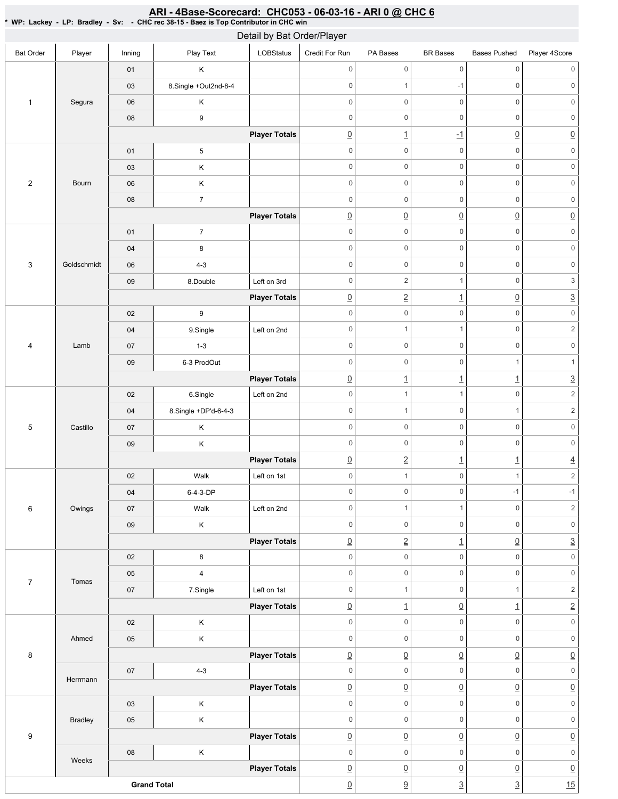#### Bat Order | Player | Inning | PlayText | LOBStatus Credit For Run PA Bases BR Bases Bases Pushed Player 4Score 1 Segura 01 K 03 8.Single +Out2nd-8-4 06 K 08 9 **Player Totals** 2 Bourn 01 5 03 K 06 K 08 7 **Player Totals** 3 Goldschmidt 01 7 04 8 06 4-3 09 8.Double Left on 3rd **Player Totals** 4 Lamb 02 9 04 9.Single Left on 2nd 07 1-3 09 6-3 ProdOut **Player Totals** 5 Castillo 02 6.Single Left on 2nd 04 8.Single +DP'd-6-4-3 07 K 09 K **Player Totals** 6 Owings 02 | Walk Left on 1st 04 6-4-3-DP 07 | Walk Left on 2nd 09 K **Player Totals** 7 Tomas 02 8 05 4 07 | 7.Single | Left on 1st **Player Totals** 8 Ahmed 02 K 05 K **Player Totals** Herrmann 07 4-3 **Player Totals** 9 Bradley 03 K 05 K **Player Totals** Weeks 08 K **Player Totals Grand Total** 0 0 0 0 0 0 0 1 -1 0 0 0 0 0 0 0 0 0 0 0 0 0 0 0 1 -1 0 0 0 0 0 0 0 0 0 0 0 0 0 0 0 0 0 0 0 0 0 0 0 0 0 0  $\begin{array}{ccc} \boxed{0} & \boxed{0} & \boxed{0} & \boxed{0} & \boxed{0} \end{array}$ 0 0 0 0 0 0 0 0 0 0 0 0 0 0 0 0 0 0 0 2 1 0 3 0 2 1 0 3 0 0 0 0 0 0 0 1 1 0 2 0 0 0 0 0 0 0 0 1 1 1  $\boxed{0}$  1 1 1 3 0 1 1 0 2 0 1 0 1 2 0 0 0 0 0 0 0 0 0 0 0 0  $\boxed{0}$  2 1  $\boxed{1}$   $\boxed{4}$ 0 1 0 1 2 0 0 -1 -1 0 1 1 0 2 0 0 0 0 0 0  $\boxed{0}$  2 1  $\boxed{0}$  3 0 0 0 0 0 0 0 0 0 0 0 0 0 1 0 1 2  $\boxed{0}$  1  $\boxed{0}$  1  $\boxed{1}$  2 0 0 0 0 0 0 0 0 0 0 0 0 0 0 0 0 0 0 0 0 0 0 0  $\overline{0}$   $\overline{0}$   $\overline{0}$   $\overline{0}$   $\overline{0}$   $\overline{0}$   $\overline{0}$ 0 0 0 0 0 0 0 0 0 0 0 0  $\overline{0}$   $\overline{0}$   $\overline{0}$   $\overline{0}$   $\overline{0}$   $\overline{0}$   $\overline{0}$ 0 0 0 0 0 0  $\overline{0}$   $\overline{0}$   $\overline{0}$   $\overline{0}$   $\overline{0}$   $\overline{0}$   $\overline{0}$  $\boxed{0}$   $\boxed{3}$   $\boxed{3}$   $\boxed{15}$ Detail by Bat Order/Player

## <u>ARI - 4Base-Scorecard: CHC053 - 06-03-16 - ARI 0 @ CHC 6</u>

\* WP: Lackey -LP: Bradley - Sv: - CHC rec 38-15 - Baez is Top Contributor in CHC win